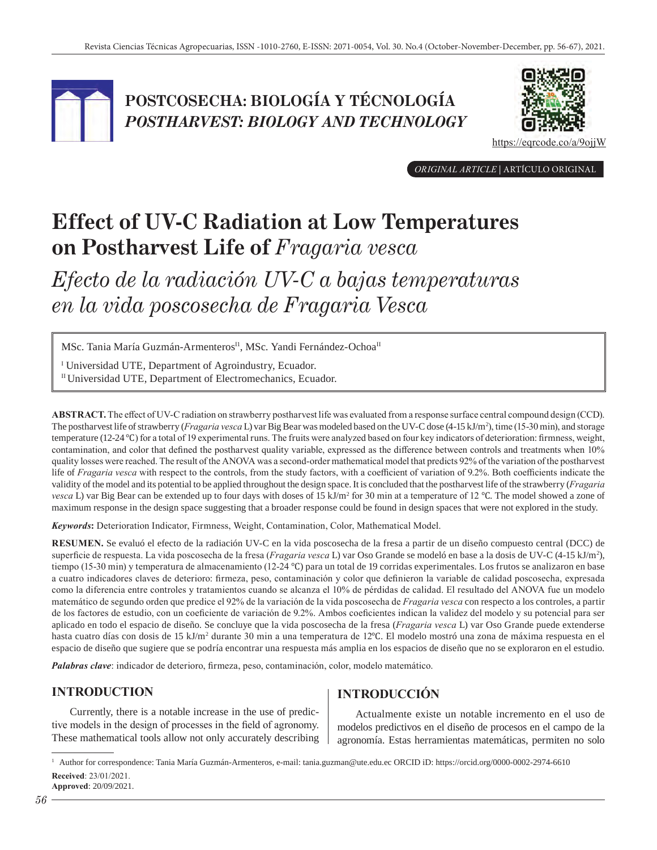

## **POSTCOSECHA: BIOLOGÍA Y TÉCNOLOGÍA**  *POSTHARVEST: BIOLOGY AND TECHNOLOGY*



https://eqrcode.co/a/9ojjW

*ORIGINAL ARTICLE* | ARTÍCULO ORIGINAL

# **Effect of UV-C Radiation at Low Temperatures on Postharvest Life of** *Fragaria vesca*

*Efecto de la radiación UV-C a bajas temperaturas en la vida poscosecha de Fragaria Vesca*

MSc. Tania María Guzmán-Armenteros<sup>II</sup>, MSc. Yandi Fernández-Ochoa<sup>II</sup>

<sup>I</sup> Universidad UTE, Department of Agroindustry, Ecuador. II Universidad UTE, Department of Electromechanics, Ecuador.

**ABSTRACT.** The effect of UV-C radiation on strawberry postharvest life was evaluated from a response surface central compound design (CCD). The postharvest life of strawberry (*Fragaria vesca* L) var Big Bear was modeled based on the UV-C dose (4-15 kJ/m2 ), time (15-30 min), and storage temperature (12-24 ℃) for a total of 19 experimental runs. The fruits were analyzed based on four key indicators of deterioration: firmness, weight, contamination, and color that defined the postharvest quality variable, expressed as the difference between controls and treatments when 10% quality losses were reached. The result of the ANOVA was a second-order mathematical model that predicts 92% of the variation of the postharvest life of *Fragaria vesca* with respect to the controls, from the study factors, with a coefficient of variation of 9.2%. Both coefficients indicate the validity of the model and its potential to be applied throughout the design space. It is concluded that the postharvest life of the strawberry (*Fragaria vesca* L) var Big Bear can be extended up to four days with doses of 15 kJ/m<sup>2</sup> for 30 min at a temperature of 12 ℃. The model showed a zone of maximum response in the design space suggesting that a broader response could be found in design spaces that were not explored in the study.

*Keywords***:** Deterioration Indicator, Firmness, Weight, Contamination, Color, Mathematical Model.

**RESUMEN.** Se evaluó el efecto de la radiación UV-C en la vida poscosecha de la fresa a partir de un diseño compuesto central (DCC) de superficie de respuesta. La vida poscosecha de la fresa (*Fragaria vesca* L) var Oso Grande se modeló en base a la dosis de UV-C (4-15 kJ/m2 ), tiempo (15-30 min) y temperatura de almacenamiento (12-24 ℃) para un total de 19 corridas experimentales. Los frutos se analizaron en base a cuatro indicadores claves de deterioro: firmeza, peso, contaminación y color que definieron la variable de calidad poscosecha, expresada como la diferencia entre controles y tratamientos cuando se alcanza el 10% de pérdidas de calidad. El resultado del ANOVA fue un modelo matemático de segundo orden que predice el 92% de la variación de la vida poscosecha de *Fragaria vesca* con respecto a los controles, a partir de los factores de estudio, con un coeficiente de variación de 9.2%. Ambos coeficientes indican la validez del modelo y su potencial para ser aplicado en todo el espacio de diseño. Se concluye que la vida poscosecha de la fresa (*Fragaria vesca* L) var Oso Grande puede extenderse hasta cuatro días con dosis de 15 kJ/m<sup>2</sup> durante 30 min a una temperatura de 12℃. El modelo mostró una zona de máxima respuesta en el espacio de diseño que sugiere que se podría encontrar una respuesta más amplia en los espacios de diseño que no se exploraron en el estudio.

*Palabras clave*: indicador de deterioro, firmeza, peso, contaminación, color, modelo matemático.

## **INTRODUCTION**

Currently, there is a notable increase in the use of predictive models in the design of processes in the field of agronomy. These mathematical tools allow not only accurately describing

## **INTRODUCCIÓN**

Actualmente existe un notable incremento en el uso de modelos predictivos en el diseño de procesos en el campo de la agronomía. Estas herramientas matemáticas, permiten no solo

<sup>1</sup> Author for correspondence: Tania María Guzmán-Armenteros, e-mail: tania.guzman@ute.edu.ec ORCID iD: https://orcid.org/0000-0002-2974-6610 **Received**: 23/01/2021. **Approved**: 20/09/2021.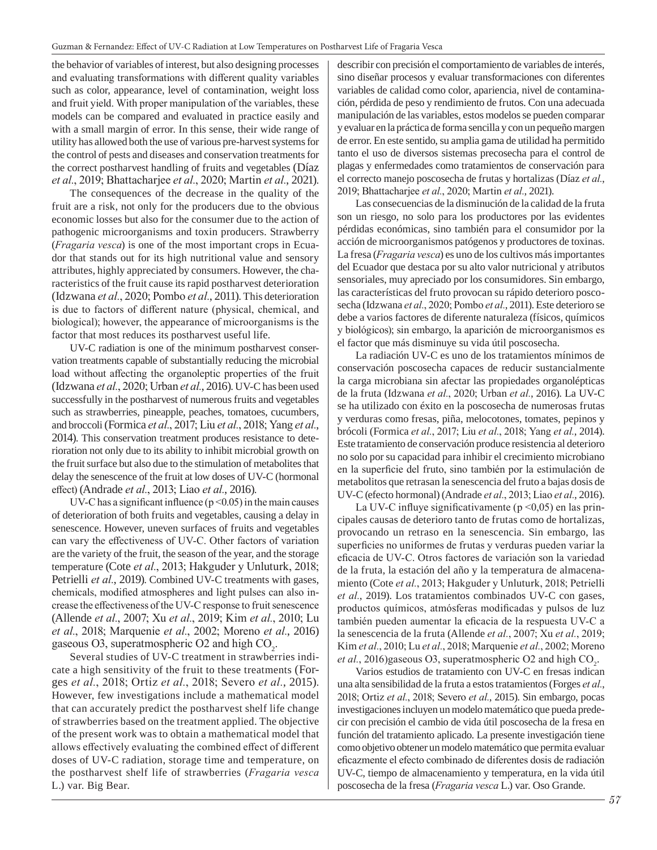the behavior of variables of interest, but also designing processes and evaluating transformations with different quality variables such as color, appearance, level of contamination, weight loss and fruit yield. With proper manipulation of the variables, these models can be compared and evaluated in practice easily and with a small margin of error. In this sense, their wide range of utility has allowed both the use of various pre-harvest systems for the control of pests and diseases and conservation treatments for the correct postharvest handling of fruits and vegetables (Díaz *et al.*, 2019; Bhattacharjee *et al.*, 2020; Martin *et al.*, 2021).

The consequences of the decrease in the quality of the fruit are a risk, not only for the producers due to the obvious economic losses but also for the consumer due to the action of pathogenic microorganisms and toxin producers. Strawberry (*Fragaria vesca*) is one of the most important crops in Ecuador that stands out for its high nutritional value and sensory attributes, highly appreciated by consumers. However, the characteristics of the fruit cause its rapid postharvest deterioration (Idzwana *et al.*, 2020; Pombo *et al.*, 2011). This deterioration is due to factors of different nature (physical, chemical, and biological); however, the appearance of microorganisms is the factor that most reduces its postharvest useful life.

UV-C radiation is one of the minimum postharvest conservation treatments capable of substantially reducing the microbial load without affecting the organoleptic properties of the fruit (Idzwana *et al.*, 2020; Urban *et al.*, 2016). UV-C has been used successfully in the postharvest of numerous fruits and vegetables such as strawberries, pineapple, peaches, tomatoes, cucumbers, and broccoli (Formica *et al.*, 2017; Liu *et al.*, 2018; Yang *et al.*, 2014). This conservation treatment produces resistance to deterioration not only due to its ability to inhibit microbial growth on the fruit surface but also due to the stimulation of metabolites that delay the senescence of the fruit at low doses of UV-C (hormonal effect) (Andrade *et al.*, 2013; Liao *et al.*, 2016).

UV-C has a significant influence ( $p < 0.05$ ) in the main causes of deterioration of both fruits and vegetables, causing a delay in senescence. However, uneven surfaces of fruits and vegetables can vary the effectiveness of UV-C. Other factors of variation are the variety of the fruit, the season of the year, and the storage temperature (Cote *et al.*, 2013; Hakguder y Unluturk, 2018; Petrielli *et al.*, 2019). Combined UV-C treatments with gases, chemicals, modified atmospheres and light pulses can also increase the effectiveness of the UV-C response to fruit senescence (Allende *et al.*, 2007; Xu *et al.*, 2019; Kim *et al.*, 2010; Lu *et al.*, 2018; Marquenie *et al.*, 2002; Moreno *et al.*, 2016) gaseous O3, superatmospheric O2 and high  $CO<sub>2</sub>$ .

Several studies of UV-C treatment in strawberries indicate a high sensitivity of the fruit to these treatments (Forges *et al.*, 2018; Ortiz *et al.*, 2018; Severo *et al.*, 2015). However, few investigations include a mathematical model that can accurately predict the postharvest shelf life change of strawberries based on the treatment applied. The objective of the present work was to obtain a mathematical model that allows effectively evaluating the combined effect of different doses of UV-C radiation, storage time and temperature, on the postharvest shelf life of strawberries (*Fragaria vesca* L.) var. Big Bear.

describir con precisión el comportamiento de variables de interés, sino diseñar procesos y evaluar transformaciones con diferentes variables de calidad como color, apariencia, nivel de contaminación, pérdida de peso y rendimiento de frutos. Con una adecuada manipulación de las variables, estos modelos se pueden comparar y evaluar en la práctica de forma sencilla y con un pequeño margen de error. En este sentido, su amplia gama de utilidad ha permitido tanto el uso de diversos sistemas precosecha para el control de plagas y enfermedades como tratamientos de conservación para el correcto manejo poscosecha de frutas y hortalizas (Díaz *et al.*, 2019; Bhattacharjee *et al.*, 2020; Martin *et al.*, 2021).

Las consecuencias de la disminución de la calidad de la fruta son un riesgo, no solo para los productores por las evidentes pérdidas económicas, sino también para el consumidor por la acción de microorganismos patógenos y productores de toxinas. La fresa (*Fragaria vesca*) es uno de los cultivos más importantes del Ecuador que destaca por su alto valor nutricional y atributos sensoriales, muy apreciado por los consumidores. Sin embargo, las características del fruto provocan su rápido deterioro poscosecha (Idzwana *et al.*, 2020; Pombo *et al.*, 2011). Este deterioro se debe a varios factores de diferente naturaleza (físicos, químicos y biológicos); sin embargo, la aparición de microorganismos es el factor que más disminuye su vida útil poscosecha.

La radiación UV-C es uno de los tratamientos mínimos de conservación poscosecha capaces de reducir sustancialmente la carga microbiana sin afectar las propiedades organolépticas de la fruta (Idzwana *et al.*, 2020; Urban *et al.*, 2016). La UV-C se ha utilizado con éxito en la poscosecha de numerosas frutas y verduras como fresas, piña, melocotones, tomates, pepinos y brócoli (Formica *et al.*, 2017; Liu *et al.*, 2018; Yang *et al.*, 2014). Este tratamiento de conservación produce resistencia al deterioro no solo por su capacidad para inhibir el crecimiento microbiano en la superficie del fruto, sino también por la estimulación de metabolitos que retrasan la senescencia del fruto a bajas dosis de UV-C (efecto hormonal) (Andrade *et al.*, 2013; Liao *et al.*, 2016).

La UV-C influye significativamente ( $p \le 0.05$ ) en las principales causas de deterioro tanto de frutas como de hortalizas, provocando un retraso en la senescencia. Sin embargo, las superficies no uniformes de frutas y verduras pueden variar la eficacia de UV-C. Otros factores de variación son la variedad de la fruta, la estación del año y la temperatura de almacenamiento (Cote *et al.*, 2013; Hakguder y Unluturk, 2018; Petrielli *et al.*, 2019). Los tratamientos combinados UV-C con gases, productos químicos, atmósferas modificadas y pulsos de luz también pueden aumentar la eficacia de la respuesta UV-C a la senescencia de la fruta (Allende *et al.*, 2007; Xu *et al.*, 2019; Kim *et al.*, 2010; Lu *et al.*, 2018; Marquenie *et al.*, 2002; Moreno *et al.*, 2016)gaseous O3, superatmospheric O2 and high  $CO_2$ .

Varios estudios de tratamiento con UV-C en fresas indican una alta sensibilidad de la fruta a estos tratamientos (Forges *et al.*, 2018; Ortiz *et al.*, 2018; Severo *et al.*, 2015). Sin embargo, pocas investigaciones incluyen un modelo matemático que pueda predecir con precisión el cambio de vida útil poscosecha de la fresa en función del tratamiento aplicado. La presente investigación tiene como objetivo obtener un modelo matemático que permita evaluar eficazmente el efecto combinado de diferentes dosis de radiación UV-C, tiempo de almacenamiento y temperatura, en la vida útil poscosecha de la fresa (*Fragaria vesca* L.) var. Oso Grande.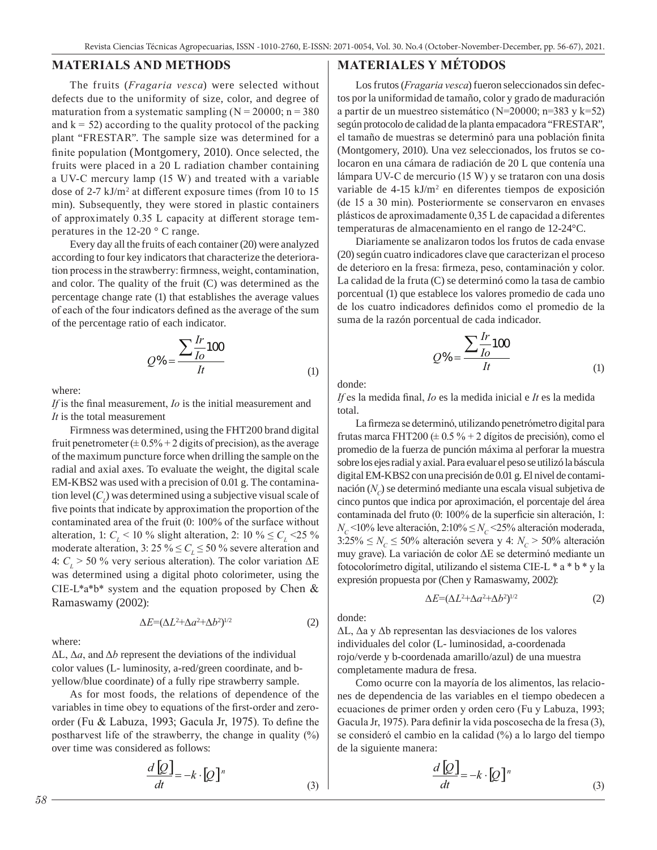#### **MATERIALS AND METHODS**

The fruits (*Fragaria vesca*) were selected without defects due to the uniformity of size, color, and degree of maturation from a systematic sampling  $(N = 20000; n = 380)$ and  $k = 52$ ) according to the quality protocol of the packing plant "FRESTAR". The sample size was determined for a finite population (Montgomery, 2010). Once selected, the fruits were placed in a 20 L radiation chamber containing a UV-C mercury lamp (15 W) and treated with a variable dose of 2-7 kJ/m<sup>2</sup> at different exposure times (from 10 to 15 min). Subsequently, they were stored in plastic containers of approximately 0.35 L capacity at different storage temperatures in the 12-20 ° C range.

Every day all the fruits of each container (20) were analyzed according to four key indicators that characterize the deterioration process in the strawberry: firmness, weight, contamination, and color. The quality of the fruit (C) was determined as the percentage change rate (1) that establishes the average values of each of the four indicators defined as the average of the sum of the percentage ratio of each indicator.

$$
Q\% = \frac{\sum \frac{Ir}{Io}100}{It} \tag{1}
$$

where:

*If* is the final measurement, *Io* is the initial measurement and *It* is the total measurement

Firmness was determined, using the FHT200 brand digital fruit penetrometer  $(\pm 0.5\% + 2 \text{ digits of precision})$ , as the average of the maximum puncture force when drilling the sample on the radial and axial axes. To evaluate the weight, the digital scale EM-KBS2 was used with a precision of 0.01 g. The contamination level  $(C_l)$  was determined using a subjective visual scale of five points that indicate by approximation the proportion of the contaminated area of the fruit (0: 100% of the surface without alteration, 1:  $C_{\text{L}}$  < 10 % slight alteration, 2: 10 %  $\leq C_{\text{L}}$  < 25 % moderate alteration, 3:  $25\% \leq C_L \leq 50\%$  severe alteration and 4:  $C_L$  > 50 % very serious alteration). The color variation  $\Delta E$ was determined using a digital photo colorimeter, using the CIE-L\*a\*b\* system and the equation proposed by Chen & Ramaswamy (2002):

$$
\Delta E = (\Delta L^2 + \Delta a^2 + \Delta b^2)^{1/2} \tag{2}
$$

where:

ΔL, Δ*a*, and Δ*b* represent the deviations of the individual color values (L- luminosity, a-red/green coordinate, and byellow/blue coordinate) of a fully ripe strawberry sample.

As for most foods, the relations of dependence of the variables in time obey to equations of the first-order and zeroorder (Fu & Labuza, 1993; Gacula Jr, 1975). To define the postharvest life of the strawberry, the change in quality (%) over time was considered as follows:

$$
\frac{d\left[Q\right]}{dt} = -k \cdot \left[Q\right]^{n}
$$
\n(3)

#### **MATERIALES Y MÉTODOS**

Los frutos (*Fragaria vesca*) fueron seleccionados sin defectos por la uniformidad de tamaño, color y grado de maduración a partir de un muestreo sistemático (N=20000; n=383 y k=52) según protocolo de calidad de la planta empacadora "FRESTAR", el tamaño de muestras se determinó para una población finita (Montgomery, 2010). Una vez seleccionados, los frutos se colocaron en una cámara de radiación de 20 L que contenía una lámpara UV-C de mercurio (15 W) y se trataron con una dosis variable de 4-15 kJ/m<sup>2</sup> en diferentes tiempos de exposición (de 15 a 30 min). Posteriormente se conservaron en envases plásticos de aproximadamente 0,35 L de capacidad a diferentes temperaturas de almacenamiento en el rango de 12-24°C.

Diariamente se analizaron todos los frutos de cada envase (20) según cuatro indicadores clave que caracterizan el proceso de deterioro en la fresa: firmeza, peso, contaminación y color. La calidad de la fruta (C) se determinó como la tasa de cambio porcentual (1) que establece los valores promedio de cada uno de los cuatro indicadores definidos como el promedio de la suma de la razón porcentual de cada indicador.

$$
Q\% = \frac{\sum \frac{Ir}{Io}100}{It} \tag{1}
$$

donde:

*If* es la medida final, *Io* es la medida inicial e *It* es la medida total.

La firmeza se determinó, utilizando penetrómetro digital para frutas marca FHT200 ( $\pm$  0.5 % + 2 dígitos de precisión), como el promedio de la fuerza de punción máxima al perforar la muestra sobre los ejes radial y axial. Para evaluar el peso se utilizó la báscula digital EM-KBS2 con una precisión de 0.01 g. El nivel de contaminación (*N<sub>c</sub>*) se determinó mediante una escala visual subjetiva de cinco puntos que indica por aproximación, el porcentaje del área contaminada del fruto (0: 100% de la superficie sin alteración, 1:  $N_c$ <10% leve alteración, 2:10%  $\leq N_c$ <25% alteración moderada,  $3:25\% \leq N_c \leq 50\%$  alteración severa y 4:  $N_c > 50\%$  alteración muy grave). La variación de color ΔE se determinó mediante un fotocolorímetro digital, utilizando el sistema CIE-L \* a \* b \* y la expresión propuesta por (Chen y Ramaswamy, 2002):

$$
\Delta E = (\Delta L^2 + \Delta a^2 + \Delta b^2)^{1/2} \tag{2}
$$

donde:

ΔL, Δa y Δb representan las desviaciones de los valores individuales del color (L- luminosidad, a-coordenada rojo/verde y b-coordenada amarillo/azul) de una muestra completamente madura de fresa.

Como ocurre con la mayoría de los alimentos, las relaciones de dependencia de las variables en el tiempo obedecen a ecuaciones de primer orden y orden cero (Fu y Labuza, 1993; Gacula Jr, 1975). Para definir la vida poscosecha de la fresa (3), se consideró el cambio en la calidad (%) a lo largo del tiempo de la siguiente manera:

$$
\frac{d\left[Q\right]}{dt} = -k \cdot \left[Q\right]^{n}
$$
\n(3)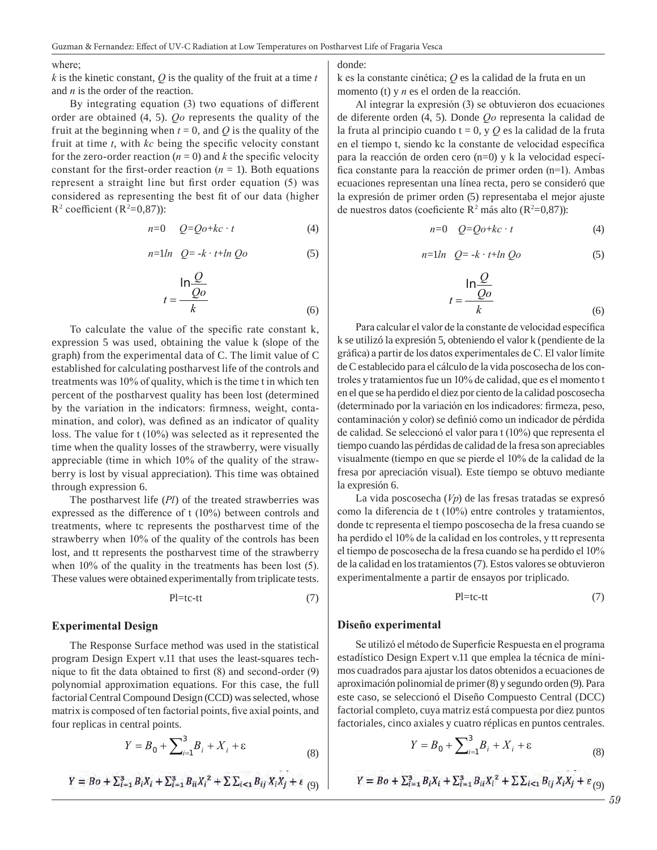#### where;

 $k$  is the kinetic constant,  $Q$  is the quality of the fruit at a time  $t$ and *n* is the order of the reaction.

By integrating equation (3) two equations of different order are obtained (4, 5). *Qo* represents the quality of the fruit at the beginning when  $t = 0$ , and  $Q$  is the quality of the fruit at time *t*, with *kc* being the specific velocity constant for the zero-order reaction  $(n = 0)$  and *k* the specific velocity constant for the first-order reaction  $(n = 1)$ . Both equations represent a straight line but first order equation (5) was considered as representing the best fit of our data (higher  $R^2$  coefficient ( $R^2=0,87$ )):

$$
n=0 \qquad Q=Qo+kc \cdot t \tag{4}
$$

$$
n=1ln Q = -k \cdot t + ln Qo \tag{5}
$$

$$
t = \frac{\ln \frac{Q}{Qo}}{k}
$$
 (6)

To calculate the value of the specific rate constant k, expression 5 was used, obtaining the value k (slope of the graph) from the experimental data of C. The limit value of C established for calculating postharvest life of the controls and treatments was 10% of quality, which is the time t in which ten percent of the postharvest quality has been lost (determined by the variation in the indicators: firmness, weight, contamination, and color), was defined as an indicator of quality loss. The value for t (10%) was selected as it represented the time when the quality losses of the strawberry, were visually appreciable (time in which 10% of the quality of the strawberry is lost by visual appreciation). This time was obtained through expression 6.

The postharvest life (*Pl*) of the treated strawberries was expressed as the difference of t (10%) between controls and treatments, where tc represents the postharvest time of the strawberry when 10% of the quality of the controls has been lost, and tt represents the postharvest time of the strawberry when 10% of the quality in the treatments has been lost (5). These values were obtained experimentally from triplicate tests.

$$
Pl = t c - t t \tag{7}
$$

#### **Experimental Design**

The Response Surface method was used in the statistical program Design Expert v.11 that uses the least-squares technique to fit the data obtained to first (8) and second-order (9) polynomial approximation equations. For this case, the full factorial Central Compound Design (CCD) was selected, whose matrix is composed of ten factorial points, five axial points, and four replicas in central points.

$$
Y = B_0 + \sum_{i=1}^{3} B_i + X_i + \varepsilon
$$
 (8)

$$
Y = Bo + \sum_{i=1}^{3} B_i X_i + \sum_{i=1}^{3} B_{ii} X_i^2 + \sum \sum_{i < 1} B_{ij} X_i X_j + \varepsilon
$$
 (9)

#### donde:

k es la constante cinética; *Q* es la calidad de la fruta en un momento (t) y *n* es el orden de la reacción.

Al integrar la expresión (3) se obtuvieron dos ecuaciones de diferente orden (4, 5). Donde *Qo* representa la calidad de la fruta al principio cuando t = 0, y *Q* es la calidad de la fruta en el tiempo t, siendo kc la constante de velocidad específica para la reacción de orden cero (n=0) y k la velocidad específica constante para la reacción de primer orden (n=1). Ambas ecuaciones representan una línea recta, pero se consideró que la expresión de primer orden (5) representaba el mejor ajuste de nuestros datos (coeficiente  $R^2$  más alto ( $R^2=0,87$ )):

$$
n=0 \quad Q=Qo+kc \cdot t \tag{4}
$$

$$
n=1ln Q = -k \cdot t + ln Qo \tag{5}
$$

$$
t = \frac{\ln \frac{Q}{Qo}}{k}
$$
 (6)

Para calcular el valor de la constante de velocidad específica k se utilizó la expresión 5, obteniendo el valor k (pendiente de la gráfica) a partir de los datos experimentales de C. El valor límite de C establecido para el cálculo de la vida poscosecha de los controles y tratamientos fue un 10% de calidad, que es el momento t en el que se ha perdido el diez por ciento de la calidad poscosecha (determinado por la variación en los indicadores: firmeza, peso, contaminación y color) se definió como un indicador de pérdida de calidad. Se seleccionó el valor para t (10%) que representa el tiempo cuando las pérdidas de calidad de la fresa son apreciables visualmente (tiempo en que se pierde el 10% de la calidad de la fresa por apreciación visual). Este tiempo se obtuvo mediante la expresión 6.

La vida poscosecha (*Vp*) de las fresas tratadas se expresó como la diferencia de t (10%) entre controles y tratamientos, donde tc representa el tiempo poscosecha de la fresa cuando se ha perdido el 10% de la calidad en los controles, y tt representa el tiempo de poscosecha de la fresa cuando se ha perdido el 10% de la calidad en los tratamientos (7). Estos valores se obtuvieron experimentalmente a partir de ensayos por triplicado.

$$
Pl = t c - t t \tag{7}
$$

#### **Diseño experimental**

Se utilizó el método de Superficie Respuesta en el programa estadístico Design Expert v.11 que emplea la técnica de mínimos cuadrados para ajustar los datos obtenidos a ecuaciones de aproximación polinomial de primer (8) y segundo orden (9). Para este caso, se seleccionó el Diseño Compuesto Central (DCC) factorial completo, cuya matriz está compuesta por diez puntos factoriales, cinco axiales y cuatro réplicas en puntos centrales.

$$
Y = B_0 + \sum_{i=1}^{3} B_i + X_i + \varepsilon
$$
 (8)

$$
Y = Bo + \sum_{i=1}^{3} B_i X_i + \sum_{i=1}^{3} B_{ii} X_i^2 + \sum \sum_{i < 1} B_{ij} X_i X_j + \varepsilon_{(9)}
$$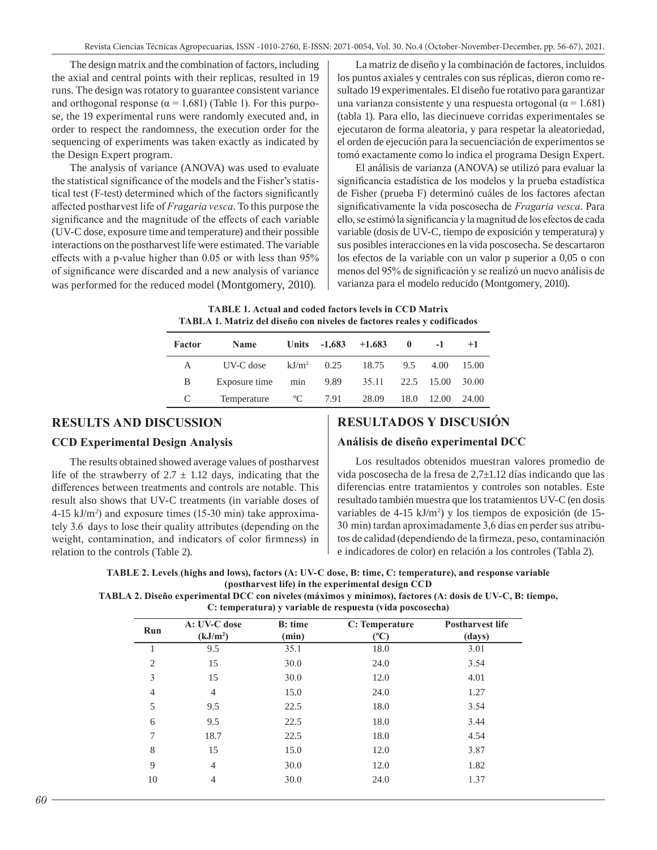The design matrix and the combination of factors, including the axial and central points with their replicas, resulted in 19 runs. The design was rotatory to guarantee consistent variance and orthogonal response ( $\alpha$  = 1.681) (Table 1). For this purpose, the 19 experimental runs were randomly executed and, in order to respect the randomness, the execution order for the sequencing of experiments was taken exactly as indicated by the Design Expert program.

The analysis of variance (ANOVA) was used to evaluate the statistical significance of the models and the Fisher's statistical test (F-test) determined which of the factors significantly affected postharvest life of *Fragaria vesca*. To this purpose the significance and the magnitude of the effects of each variable (UV-C dose, exposure time and temperature) and their possible interactions on the postharvest life were estimated. The variable effects with a p-value higher than 0.05 or with less than 95% of significance were discarded and a new analysis of variance was performed for the reduced model (Montgomery, 2010).

La matriz de diseño y la combinación de factores, incluidos los puntos axiales y centrales con sus réplicas, dieron como resultado 19 experimentales. El diseño fue rotativo para garantizar una varianza consistente y una respuesta ortogonal ( $\alpha$  = 1.681) (tabla 1). Para ello, las diecinueve corridas experimentales se ejecutaron de forma aleatoria, y para respetar la aleatoriedad, el orden de ejecución para la secuenciación de experimentos se tomó exactamente como lo indica el programa Design Expert.

El análisis de varianza (ANOVA) se utilizó para evaluar la significancia estadística de los modelos y la prueba estadística de Fisher (prueba F) determinó cuáles de los factores afectan significativamente la vida poscosecha de *Fragaria vesca*. Para ello, se estimó la significancia y la magnitud de los efectos de cada variable (dosis de UV-C, tiempo de exposición y temperatura) y sus posibles interacciones en la vida poscosecha. Se descartaron los efectos de la variable con un valor p superior a 0,05 o con menos del 95% de significación y se realizó un nuevo análisis de varianza para el modelo reducido (Montgomery, 2010).

**TABLE 1. Actual and coded factors levels in CCD Matrix TABLA 1. Matriz del diseño con niveles de factores reales y codificados**

| Factor       | <b>Name</b>   |               |      | Units $-1,683$ $+1,683$ | $\mathbf{0}$ | $-1$       | $+1$  |
|--------------|---------------|---------------|------|-------------------------|--------------|------------|-------|
| $\mathsf{A}$ | UV-C dose     | $kJ/m^2$ 0.25 |      | 18.75                   | 9.5          | 4.00       | 15.00 |
| B            | Exposure time | min           | 9.89 | 35.11                   |              | 22.5 15.00 | 30.00 |
| C            | Temperature   | $\rm ^{o}C$   | 7.91 | 28.09                   | 18.0         | 12.00      | 24.00 |

#### **RESULTS AND DISCUSSION**

#### **CCD Experimental Design Analysis**

The results obtained showed average values of postharvest life of the strawberry of  $2.7 \pm 1.12$  days, indicating that the differences between treatments and controls are notable. This result also shows that UV-C treatments (in variable doses of 4-15 kJ/m2 ) and exposure times (15-30 min) take approximately 3.6 days to lose their quality attributes (depending on the weight, contamination, and indicators of color firmness) in relation to the controls (Table 2).

#### **RESULTADOS Y DISCUSIÓN**

#### **Análisis de diseño experimental DCC**

Los resultados obtenidos muestran valores promedio de vida poscosecha de la fresa de 2,7±1.12 días indicando que las diferencias entre tratamientos y controles son notables. Este resultado también muestra que los tratamientos UV-C (en dosis variables de 4-15 kJ/m<sup>2</sup>) y los tiempos de exposición (de 15-30  min) tardan aproximadamente 3,6 días en perder sus atributos de calidad (dependiendo de la firmeza, peso, contaminación e indicadores de color) en relación a los controles (Tabla 2).

**TABLE 2. Levels (highs and lows), factors (A: UV-C dose, B: time, C: temperature), and response variable (postharvest life) in the experimental design CCD** 

**TABLA 2. Diseño experimental DCC con niveles (máximos y mínimos), factores (A: dosis de UV-C, B: tiempo, C: temperatura) y variable de respuesta (vida poscosecha)**

| Run            | A: UV-C dose<br>(kJ/m <sup>2</sup> ) | <b>B</b> : time<br>(min) | C: Temperature<br>$(^{\mathrm{o}}\mathrm{C})$ | <b>Postharvest life</b><br>(days) |
|----------------|--------------------------------------|--------------------------|-----------------------------------------------|-----------------------------------|
| 1              | 9.5                                  | 35.1                     | 18.0                                          | 3.01                              |
| $\overline{2}$ | 15                                   | 30.0                     | 24.0                                          | 3.54                              |
| 3              | 15                                   | 30.0                     | 12.0                                          | 4.01                              |
| $\overline{4}$ | 4                                    | 15.0                     | 24.0                                          | 1.27                              |
| 5              | 9.5                                  | 22.5                     | 18.0                                          | 3.54                              |
| 6              | 9.5                                  | 22.5                     | 18.0                                          | 3.44                              |
| 7              | 18.7                                 | 22.5                     | 18.0                                          | 4.54                              |
| 8              | 15                                   | 15.0                     | 12.0                                          | 3.87                              |
| 9              | 4                                    | 30.0                     | 12.0                                          | 1.82                              |
| 10             | 4                                    | 30.0                     | 24.0                                          | 1.37                              |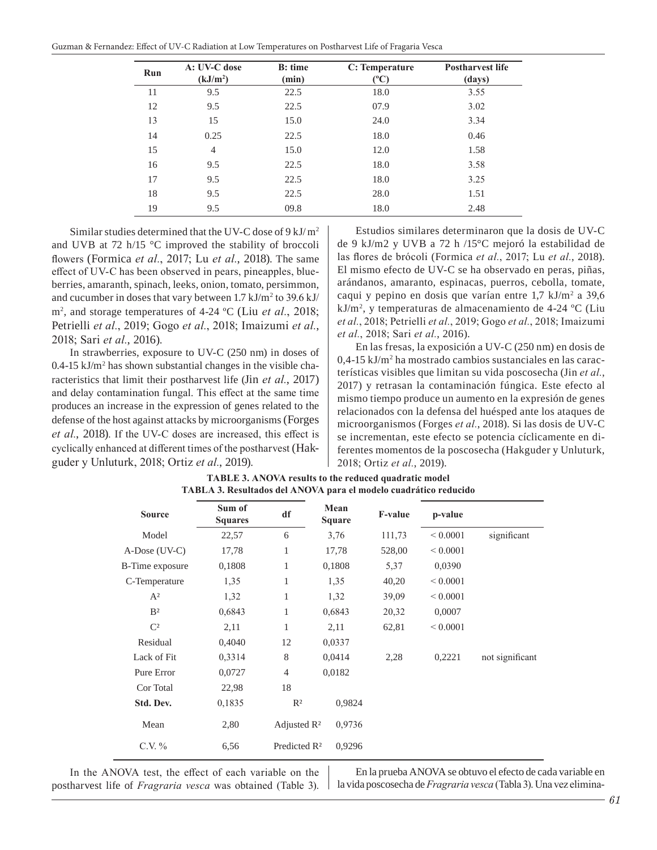| Guzman & Fernandez: Effect of UV-C Radiation at Low Temperatures on Postharvest Life of Fragaria Vesca |  |
|--------------------------------------------------------------------------------------------------------|--|
|--------------------------------------------------------------------------------------------------------|--|

| Run | A: UV-C dose<br>(kJ/m <sup>2</sup> ) | <b>B</b> : time<br>(min) | C: Temperature<br>(°C) | <b>Postharvest life</b><br>(days) |
|-----|--------------------------------------|--------------------------|------------------------|-----------------------------------|
| 11  | 9.5                                  | 22.5                     | 18.0                   | 3.55                              |
| 12  | 9.5                                  | 22.5                     | 07.9                   | 3.02                              |
| 13  | 15                                   | 15.0                     | 24.0                   | 3.34                              |
| 14  | 0.25                                 | 22.5                     | 18.0                   | 0.46                              |
| 15  | $\overline{4}$                       | 15.0                     | 12.0                   | 1.58                              |
| 16  | 9.5                                  | 22.5                     | 18.0                   | 3.58                              |
| 17  | 9.5                                  | 22.5                     | 18.0                   | 3.25                              |
| 18  | 9.5                                  | 22.5                     | 28.0                   | 1.51                              |
| 19  | 9.5                                  | 09.8                     | 18.0                   | 2.48                              |

Similar studies determined that the UV-C dose of  $9 \text{ kJ/m}^2$ and UVB at 72 h/15 °C improved the stability of broccoli flowers (Formica *et al.*, 2017; Lu *et al.*, 2018). The same effect of UV-C has been observed in pears, pineapples, blueberries, amaranth, spinach, leeks, onion, tomato, persimmon, and cucumber in doses that vary between  $1.7 \text{ kJ/m}^2$  to  $39.6 \text{ kJ/m}^2$ m2 , and storage temperatures of 4-24 ºC (Liu *et al.*, 2018; Petrielli *et al.*, 2019; Gogo *et al.*, 2018; Imaizumi *et al.*, 2018; Sari *et al.*, 2016).

In strawberries, exposure to UV-C (250 nm) in doses of  $0.4$ -15 kJ/m<sup>2</sup> has shown substantial changes in the visible characteristics that limit their postharvest life (Jin *et al.*, 2017) and delay contamination fungal. This effect at the same time produces an increase in the expression of genes related to the defense of the host against attacks by microorganisms (Forges *et al.*, 2018). If the UV-C doses are increased, this effect is cyclically enhanced at different times of the postharvest (Hakguder y Unluturk, 2018; Ortiz *et al.*, 2019).

Estudios similares determinaron que la dosis de UV-C de 9 kJ/m2 y UVB a 72 h /15°C mejoró la estabilidad de las flores de brócoli (Formica *et al.*, 2017; Lu *et al.*, 2018). El mismo efecto de UV-C se ha observado en peras, piñas, arándanos, amaranto, espinacas, puerros, cebolla, tomate, caqui y pepino en dosis que varían entre 1,7 kJ/m<sup>2</sup> a 39,6 kJ/m2 , y temperaturas de almacenamiento de 4-24 ºC (Liu *et al.*, 2018; Petrielli *et al.*, 2019; Gogo *et al.*, 2018; Imaizumi *et al.*, 2018; Sari *et al.*, 2016).

En las fresas, la exposición a UV-C (250 nm) en dosis de 0,4-15 kJ/m<sup>2</sup> ha mostrado cambios sustanciales en las características visibles que limitan su vida poscosecha (Jin *et al.*, 2017) y retrasan la contaminación fúngica. Este efecto al mismo tiempo produce un aumento en la expresión de genes relacionados con la defensa del huésped ante los ataques de microorganismos (Forges *et al.*, 2018). Si las dosis de UV-C se incrementan, este efecto se potencia cíclicamente en diferentes momentos de la poscosecha (Hakguder y Unluturk, 2018; Ortiz *et al.*, 2019).

| <b>Source</b>           | Sum of<br><b>Squares</b> | df                       | Mean<br><b>Square</b> | <b>F-value</b> | p-value      |                 |
|-------------------------|--------------------------|--------------------------|-----------------------|----------------|--------------|-----------------|
| Model                   | 22,57                    | 6                        | 3,76                  | 111,73         | ${}< 0.0001$ | significant     |
| A-Dose (UV-C)           | 17,78                    | 1                        | 17,78                 | 528,00         | ${}< 0.0001$ |                 |
| <b>B</b> -Time exposure | 0,1808                   | 1                        | 0,1808                | 5,37           | 0,0390       |                 |
| C-Temperature           | 1,35                     | 1                        | 1,35                  | 40,20          | ${}< 0.0001$ |                 |
| $A^2$                   | 1,32                     | 1                        | 1,32                  | 39,09          | ${}< 0.0001$ |                 |
| B <sup>2</sup>          | 0,6843                   | 1                        | 0,6843                | 20,32          | 0,0007       |                 |
| $\mathbb{C}^2$          | 2,11                     | 1                        | 2,11                  | 62,81          | ${}< 0.0001$ |                 |
| Residual                | 0,4040                   | 12                       | 0,0337                |                |              |                 |
| Lack of Fit             | 0,3314                   | 8                        | 0,0414                | 2,28           | 0,2221       | not significant |
| Pure Error              | 0,0727                   | $\overline{4}$           | 0,0182                |                |              |                 |
| Cor Total               | 22,98                    | 18                       |                       |                |              |                 |
| Std. Dev.               | 0,1835                   | $R^2$                    | 0,9824                |                |              |                 |
| Mean                    | 2,80                     | Adjusted $\mathbb{R}^2$  | 0,9736                |                |              |                 |
| C.V. $%$                | 6,56                     | Predicted R <sup>2</sup> | 0,9296                |                |              |                 |

| <b>TABLE 3. ANOVA results to the reduced quadratic model</b>     |
|------------------------------------------------------------------|
| TABLA 3. Resultados del ANOVA para el modelo cuadrático reducido |

In the ANOVA test, the effect of each variable on the postharvest life of *Fragraria vesca* was obtained (Table 3).

En la prueba ANOVA se obtuvo el efecto de cada variable en la vida poscosecha de *Fragraria vesca* (Tabla 3). Una vez elimina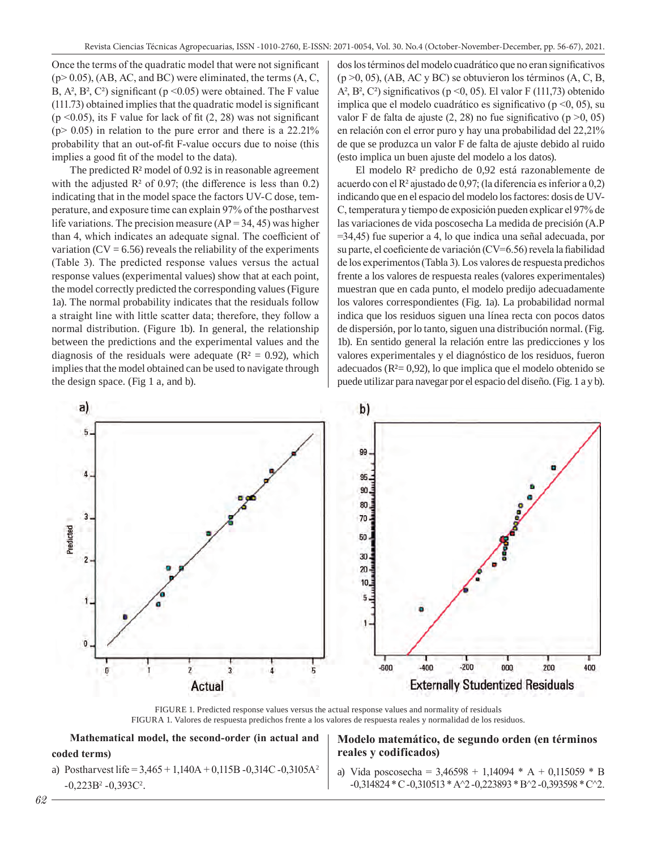Once the terms of the quadratic model that were not significant  $(p> 0.05)$ , (AB, AC, and BC) were eliminated, the terms (A, C, B,  $A^2$ ,  $B^2$ ,  $C^2$ ) significant (p < 0.05) were obtained. The F value (111.73) obtained implies that the quadratic model is significant ( $p \le 0.05$ ), its F value for lack of fit (2, 28) was not significant  $(p > 0.05)$  in relation to the pure error and there is a 22.21% probability that an out-of-fit F-value occurs due to noise (this implies a good fit of the model to the data).

The predicted  $\mathbb{R}^2$  model of 0.92 is in reasonable agreement with the adjusted  $\mathbb{R}^2$  of 0.97; (the difference is less than 0.2) indicating that in the model space the factors UV-C dose, temperature, and exposure time can explain 97% of the postharvest life variations. The precision measure  $(AP = 34, 45)$  was higher than 4, which indicates an adequate signal. The coefficient of variation  $(CV = 6.56)$  reveals the reliability of the experiments (Table 3). The predicted response values versus the actual response values (experimental values) show that at each point, the model correctly predicted the corresponding values (Figure 1a). The normal probability indicates that the residuals follow a straight line with little scatter data; therefore, they follow a normal distribution. (Figure 1b). In general, the relationship between the predictions and the experimental values and the diagnosis of the residuals were adequate ( $R^2 = 0.92$ ), which implies that the model obtained can be used to navigate through the design space. (Fig 1 a, and b).

dos los términos del modelo cuadrático que no eran significativos  $(p > 0, 05)$ , (AB, AC y BC) se obtuvieron los términos (A, C, B, A<sup>2</sup>, B<sup>2</sup>, C<sup>2</sup>) significativos (p < 0, 05). El valor F (111,73) obtenido implica que el modelo cuadrático es significativo ( $p \le 0$ , 05), su valor F de falta de ajuste  $(2, 28)$  no fue significativo (p  $>0$ , 05) en relación con el error puro y hay una probabilidad del 22,21% de que se produzca un valor F de falta de ajuste debido al ruido (esto implica un buen ajuste del modelo a los datos).

El modelo R² predicho de 0,92 está razonablemente de acuerdo con el R² ajustado de 0,97; (la diferencia es inferior a 0,2) indicando que en el espacio del modelo los factores: dosis de UV-C, temperatura y tiempo de exposición pueden explicar el 97% de las variaciones de vida poscosecha La medida de precisión (A.P =34,45) fue superior a 4, lo que indica una señal adecuada, por su parte, el coeficiente de variación (CV=6.56) revela la fiabilidad de los experimentos (Tabla 3). Los valores de respuesta predichos frente a los valores de respuesta reales (valores experimentales) muestran que en cada punto, el modelo predijo adecuadamente los valores correspondientes (Fig. 1a). La probabilidad normal indica que los residuos siguen una línea recta con pocos datos de dispersión, por lo tanto, siguen una distribución normal. (Fig. 1b). En sentido general la relación entre las predicciones y los valores experimentales y el diagnóstico de los residuos, fueron adecuados ( $R<sup>2</sup>= 0.92$ ), lo que implica que el modelo obtenido se puede utilizar para navegar por el espacio del diseño. (Fig. 1 a y b).



FIGURE 1. Predicted response values versus the actual response values and normality of residuals FIGURA 1. Valores de respuesta predichos frente a los valores de respuesta reales y normalidad de los residuos.

**Mathematical model, the second-order (in actual and coded terms)**

a) Postharvest life =  $3,465 + 1,140A + 0,115B - 0,314C - 0,3105A^2$  $-0,223B^2 -0,393C^2$ .

#### **Modelo matemático, de segundo orden (en términos reales y codificados)**

a) Vida poscosecha =  $3,46598 + 1,14094 * A + 0,115059 * B$  $-0,314824$  \* C $-0,310513$  \* A $\textdegree$ 2 $-0,223893$  \* B $\textdegree$ 2 $-0,393598$  \* C $\textdegree$ 2.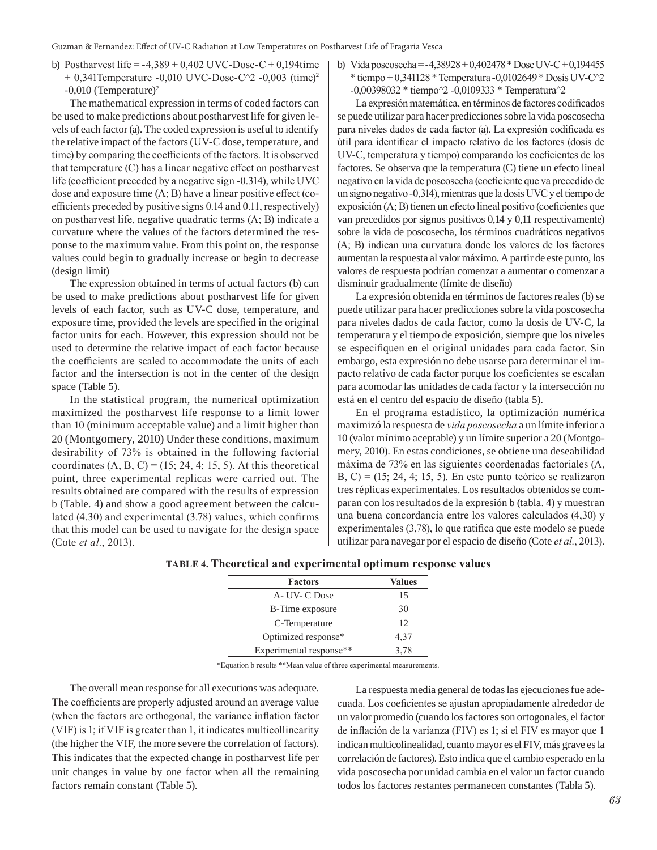b) Postharvest life =  $-4,389 + 0,402$  UVC-Dose-C + 0,194time  $+ 0,341$ Temperature -0,010 UVC-Dose-C $^{\wedge}2$  -0,003 (time)<sup>2</sup>  $-0,010$  (Temperature)<sup>2</sup>

The mathematical expression in terms of coded factors can be used to make predictions about postharvest life for given levels of each factor (a). The coded expression is useful to identify the relative impact of the factors (UV-C dose, temperature, and time) by comparing the coefficients of the factors. It is observed that temperature (C) has a linear negative effect on postharvest life (coefficient preceded by a negative sign -0.314), while UVC dose and exposure time (A; B) have a linear positive effect (coefficients preceded by positive signs 0.14 and 0.11, respectively) on postharvest life, negative quadratic terms (A; B) indicate a curvature where the values of the factors determined the response to the maximum value. From this point on, the response values could begin to gradually increase or begin to decrease (design limit)

The expression obtained in terms of actual factors (b) can be used to make predictions about postharvest life for given levels of each factor, such as UV-C dose, temperature, and exposure time, provided the levels are specified in the original factor units for each. However, this expression should not be used to determine the relative impact of each factor because the coefficients are scaled to accommodate the units of each factor and the intersection is not in the center of the design space (Table 5).

In the statistical program, the numerical optimization maximized the postharvest life response to a limit lower than 10 (minimum acceptable value) and a limit higher than 20 (Montgomery, 2010) Under these conditions, maximum desirability of 73% is obtained in the following factorial coordinates  $(A, B, C) = (15; 24, 4; 15, 5)$ . At this theoretical point, three experimental replicas were carried out. The results obtained are compared with the results of expression b (Table. 4) and show a good agreement between the calculated (4.30) and experimental (3.78) values, which confirms that this model can be used to navigate for the design space (Cote *et al.*, 2013).

- b) Vida poscosecha =  $-4,38928 + 0,402478$  \* Dose UV-C + 0,194455  $*$  tiempo + 0,341128  $*$  Temperatura -0,0102649  $*$  Dosis UV-C $^{\prime\prime}$ 2
	- -0,00398032 \* tiempo^2 -0,0109333 \* Temperatura^2

La expresión matemática, en términos de factores codificados se puede utilizar para hacer predicciones sobre la vida poscosecha para niveles dados de cada factor (a). La expresión codificada es útil para identificar el impacto relativo de los factores (dosis de UV-C, temperatura y tiempo) comparando los coeficientes de los factores. Se observa que la temperatura (C) tiene un efecto lineal negativo en la vida de poscosecha (coeficiente que va precedido de un signo negativo -0,314), mientras que la dosis UVC y el tiempo de exposición (A; B) tienen un efecto lineal positivo (coeficientes que van precedidos por signos positivos 0,14 y 0,11 respectivamente) sobre la vida de poscosecha, los términos cuadráticos negativos (A; B) indican una curvatura donde los valores de los factores aumentan la respuesta al valor máximo. A partir de este punto, los valores de respuesta podrían comenzar a aumentar o comenzar a disminuir gradualmente (límite de diseño)

La expresión obtenida en términos de factores reales (b) se puede utilizar para hacer predicciones sobre la vida poscosecha para niveles dados de cada factor, como la dosis de UV-C, la temperatura y el tiempo de exposición, siempre que los niveles se especifiquen en el original unidades para cada factor. Sin embargo, esta expresión no debe usarse para determinar el impacto relativo de cada factor porque los coeficientes se escalan para acomodar las unidades de cada factor y la intersección no está en el centro del espacio de diseño (tabla 5).

En el programa estadístico, la optimización numérica maximizó la respuesta de *vida poscosecha* a un límite inferior a 10 (valor mínimo aceptable) y un límite superior a 20 (Montgomery, 2010). En estas condiciones, se obtiene una deseabilidad máxima de 73% en las siguientes coordenadas factoriales (A, B, C) =  $(15; 24, 4; 15, 5)$ . En este punto teórico se realizaron tres réplicas experimentales. Los resultados obtenidos se comparan con los resultados de la expresión b (tabla. 4) y muestran una buena concordancia entre los valores calculados (4,30) y experimentales (3,78), lo que ratifica que este modelo se puede utilizar para navegar por el espacio de diseño (Cote *et al.*, 2013).

| <b>Factors</b>          | Values |  |
|-------------------------|--------|--|
| A- UV- C Dose           | 15     |  |
| <b>B-Time exposure</b>  | 30     |  |
| C-Temperature           | 12     |  |
| Optimized response*     | 4,37   |  |
| Experimental response** | 3,78   |  |

**TABLE 4. Theoretical and experimental optimum response values**

\*Equation b results \*\*Mean value of three experimental measurements.

The overall mean response for all executions was adequate. The coefficients are properly adjusted around an average value (when the factors are orthogonal, the variance inflation factor (VIF) is 1; if VIF is greater than 1, it indicates multicollinearity (the higher the VIF, the more severe the correlation of factors). This indicates that the expected change in postharvest life per unit changes in value by one factor when all the remaining factors remain constant (Table 5).

La respuesta media general de todas las ejecuciones fue adecuada. Los coeficientes se ajustan apropiadamente alrededor de un valor promedio (cuando los factores son ortogonales, el factor de inflación de la varianza (FIV) es 1; si el FIV es mayor que 1 indican multicolinealidad, cuanto mayor es el FIV, más grave es la correlación de factores). Esto indica que el cambio esperado en la vida poscosecha por unidad cambia en el valor un factor cuando todos los factores restantes permanecen constantes (Tabla 5).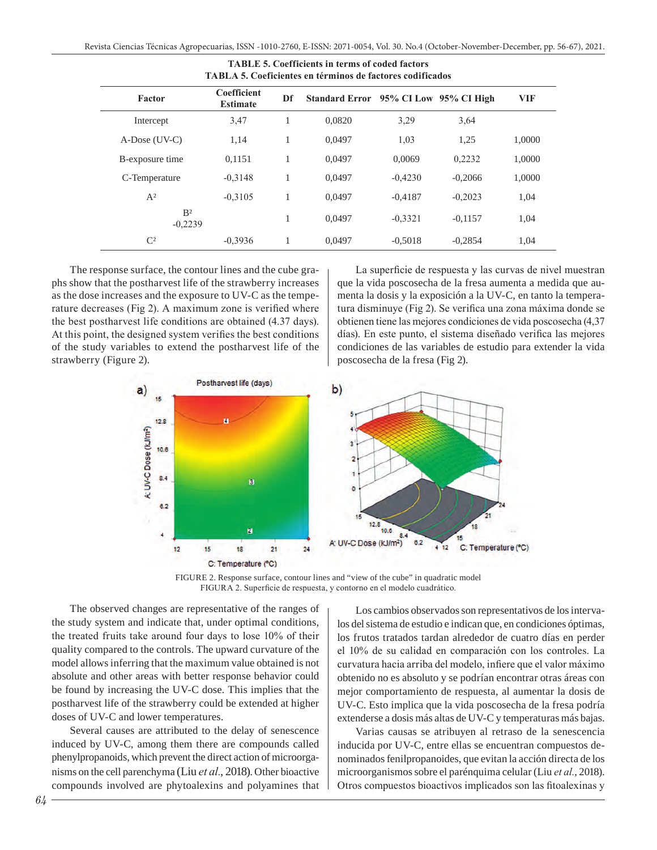| TABLA 5. Coeficientes en términos de factores codificados |                                |    |                                       |           |           |            |  |
|-----------------------------------------------------------|--------------------------------|----|---------------------------------------|-----------|-----------|------------|--|
| Factor                                                    | Coefficient<br><b>Estimate</b> | Df | Standard Error 95% CI Low 95% CI High |           |           | <b>VIF</b> |  |
| Intercept                                                 | 3,47                           | 1  | 0.0820                                | 3,29      | 3,64      |            |  |
| A-Dose (UV-C)                                             | 1,14                           | ı  | 0.0497                                | 1,03      | 1,25      | 1,0000     |  |
| B-exposure time                                           | 0,1151                         | 1  | 0.0497                                | 0.0069    | 0,2232    | 1,0000     |  |
| C-Temperature                                             | $-0.3148$                      |    | 0.0497                                | $-0.4230$ | $-0.2066$ | 1,0000     |  |
| $A^2$                                                     | $-0.3105$                      |    | 0.0497                                | $-0.4187$ | $-0.2023$ | 1,04       |  |
| B <sup>2</sup><br>$-0,2239$                               |                                |    | 0.0497                                | $-0.3321$ | $-0.1157$ | 1,04       |  |
| $\mathbb{C}^2$                                            | $-0,3936$                      |    | 0.0497                                | $-0.5018$ | $-0.2854$ | 1,04       |  |

|  | <b>TABLE 5. Coefficients in terms of coded factors</b> |  |                                                                  |
|--|--------------------------------------------------------|--|------------------------------------------------------------------|
|  |                                                        |  | <b>TABLA 5. Coeficientes en términos de factores codificados</b> |

The response surface, the contour lines and the cube graphs show that the postharvest life of the strawberry increases as the dose increases and the exposure to UV-C as the temperature decreases (Fig 2). A maximum zone is verified where the best postharvest life conditions are obtained (4.37 days). At this point, the designed system verifies the best conditions of the study variables to extend the postharvest life of the strawberry (Figure 2).

La superficie de respuesta y las curvas de nivel muestran que la vida poscosecha de la fresa aumenta a medida que aumenta la dosis y la exposición a la UV-C, en tanto la temperatura disminuye (Fig 2). Se verifica una zona máxima donde se obtienen tiene las mejores condiciones de vida poscosecha (4,37 días). En este punto, el sistema diseñado verifica las mejores condiciones de las variables de estudio para extender la vida poscosecha de la fresa (Fig 2).



FIGURE 2. Response surface, contour lines and "view of the cube" in quadratic model FIGURA 2. Superficie de respuesta, y contorno en el modelo cuadrático.

The observed changes are representative of the ranges of the study system and indicate that, under optimal conditions, the treated fruits take around four days to lose 10% of their quality compared to the controls. The upward curvature of the model allows inferring that the maximum value obtained is not absolute and other areas with better response behavior could be found by increasing the UV-C dose. This implies that the postharvest life of the strawberry could be extended at higher doses of UV-C and lower temperatures.

Several causes are attributed to the delay of senescence induced by UV-C, among them there are compounds called phenylpropanoids, which prevent the direct action of microorganisms on the cell parenchyma (Liu *et al.*, 2018). Other bioactive compounds involved are phytoalexins and polyamines that

Los cambios observados son representativos de los intervalos del sistema de estudio e indican que, en condiciones óptimas, los frutos tratados tardan alrededor de cuatro días en perder el 10% de su calidad en comparación con los controles. La curvatura hacia arriba del modelo, infiere que el valor máximo obtenido no es absoluto y se podrían encontrar otras áreas con mejor comportamiento de respuesta, al aumentar la dosis de UV-C. Esto implica que la vida poscosecha de la fresa podría extenderse a dosis más altas de UV-C y temperaturas más bajas.

Varias causas se atribuyen al retraso de la senescencia inducida por UV-C, entre ellas se encuentran compuestos denominados fenilpropanoides, que evitan la acción directa de los microorganismos sobre el parénquima celular (Liu *et al.*, 2018). Otros compuestos bioactivos implicados son las fitoalexinas y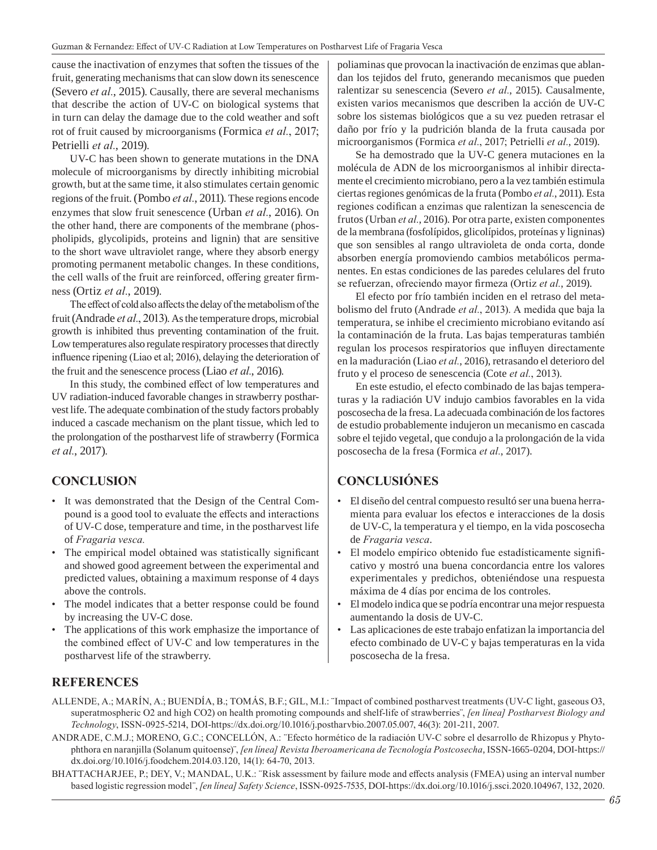cause the inactivation of enzymes that soften the tissues of the fruit, generating mechanisms that can slow down its senescence (Severo *et al.*, 2015). Causally, there are several mechanisms that describe the action of UV-C on biological systems that in turn can delay the damage due to the cold weather and soft rot of fruit caused by microorganisms (Formica *et al.*, 2017; Petrielli *et al.*, 2019).

UV-C has been shown to generate mutations in the DNA molecule of microorganisms by directly inhibiting microbial growth, but at the same time, it also stimulates certain genomic regions of the fruit. (Pombo *et al.*, 2011). These regions encode enzymes that slow fruit senescence (Urban *et al.*, 2016). On the other hand, there are components of the membrane (phospholipids, glycolipids, proteins and lignin) that are sensitive to the short wave ultraviolet range, where they absorb energy promoting permanent metabolic changes. In these conditions, the cell walls of the fruit are reinforced, offering greater firmness (Ortiz *et al.*, 2019).

The effect of cold also affects the delay of the metabolism of the fruit (Andrade *et al.*, 2013). As the temperature drops, microbial growth is inhibited thus preventing contamination of the fruit. Low temperatures also regulate respiratory processes that directly influence ripening (Liao et al; 2016), delaying the deterioration of the fruit and the senescence process (Liao *et al.*, 2016).

In this study, the combined effect of low temperatures and UV radiation-induced favorable changes in strawberry postharvest life. The adequate combination of the study factors probably induced a cascade mechanism on the plant tissue, which led to the prolongation of the postharvest life of strawberry (Formica *et al.*, 2017).

## **CONCLUSION**

- It was demonstrated that the Design of the Central Compound is a good tool to evaluate the effects and interactions of UV-C dose, temperature and time, in the postharvest life of *Fragaria vesca.*
- The empirical model obtained was statistically significant and showed good agreement between the experimental and predicted values, obtaining a maximum response of 4 days above the controls.
- The model indicates that a better response could be found by increasing the UV-C dose.
- The applications of this work emphasize the importance of the combined effect of UV-C and low temperatures in the postharvest life of the strawberry.

poliaminas que provocan la inactivación de enzimas que ablandan los tejidos del fruto, generando mecanismos que pueden ralentizar su senescencia (Severo *et al.*, 2015). Causalmente, existen varios mecanismos que describen la acción de UV-C sobre los sistemas biológicos que a su vez pueden retrasar el daño por frío y la pudrición blanda de la fruta causada por microorganismos (Formica *et al.*, 2017; Petrielli *et al.*, 2019).

Se ha demostrado que la UV-C genera mutaciones en la molécula de ADN de los microorganismos al inhibir directamente el crecimiento microbiano, pero a la vez también estimula ciertas regiones genómicas de la fruta (Pombo *et al.*, 2011). Esta regiones codifican a enzimas que ralentizan la senescencia de frutos (Urban *et al.*, 2016). Por otra parte, existen componentes de la membrana (fosfolípidos, glicolípidos, proteínas y ligninas) que son sensibles al rango ultravioleta de onda corta, donde absorben energía promoviendo cambios metabólicos permanentes. En estas condiciones de las paredes celulares del fruto se refuerzan, ofreciendo mayor firmeza (Ortiz *et al.*, 2019).

El efecto por frío también inciden en el retraso del metabolismo del fruto (Andrade *et al.*, 2013). A medida que baja la temperatura, se inhibe el crecimiento microbiano evitando así la contaminación de la fruta. Las bajas temperaturas también regulan los procesos respiratorios que influyen directamente en la maduración (Liao *et al.*, 2016), retrasando el deterioro del fruto y el proceso de senescencia (Cote *et al.*, 2013).

En este estudio, el efecto combinado de las bajas temperaturas y la radiación UV indujo cambios favorables en la vida poscosecha de la fresa. La adecuada combinación de los factores de estudio probablemente indujeron un mecanismo en cascada sobre el tejido vegetal, que condujo a la prolongación de la vida poscosecha de la fresa (Formica *et al.*, 2017).

## **CONCLUSIÓNES**

- El diseño del central compuesto resultó ser una buena herramienta para evaluar los efectos e interacciones de la dosis de UV-C, la temperatura y el tiempo, en la vida poscosecha de *Fragaria vesca*.
- El modelo empírico obtenido fue estadísticamente significativo y mostró una buena concordancia entre los valores experimentales y predichos, obteniéndose una respuesta máxima de 4 días por encima de los controles.
- El modelo indica que se podría encontrar una mejor respuesta aumentando la dosis de UV-C.
- Las aplicaciones de este trabajo enfatizan la importancia del efecto combinado de UV-C y bajas temperaturas en la vida poscosecha de la fresa.

## **REFERENCES**

- ALLENDE, A.; MARÍN, A.; BUENDÍA, B.; TOMÁS, B.F.; GIL, M.I.: ¨Impact of combined postharvest treatments (UV-C light, gaseous O3, superatmospheric O2 and high CO2) on health promoting compounds and shelf-life of strawberries¨, *[en línea] Postharvest Biology and Technology*, ISSN-0925-5214, DOI-https://dx.doi.org/10.1016/j.postharvbio.2007.05.007, 46(3): 201-211, 2007.
- ANDRADE, C.M.J.; MORENO, G.C.; CONCELLÓN, A.: ¨Efecto hormético de la radiación UV-C sobre el desarrollo de Rhizopus y Phytophthora en naranjilla (Solanum quitoense)¨, *[en línea] Revista Iberoamericana de Tecnología Postcosecha*, ISSN-1665-0204, DOI-https:// dx.doi.org/10.1016/j.foodchem.2014.03.120, 14(1): 64-70, 2013.
- BHATTACHARJEE, P.; DEY, V.; MANDAL, U.K.: "Risk assessment by failure mode and effects analysis (FMEA) using an interval number based logistic regression model¨, *[en línea] Safety Science*, ISSN-0925-7535, DOI-https://dx.doi.org/10.1016/j.ssci.2020.104967, 132, 2020.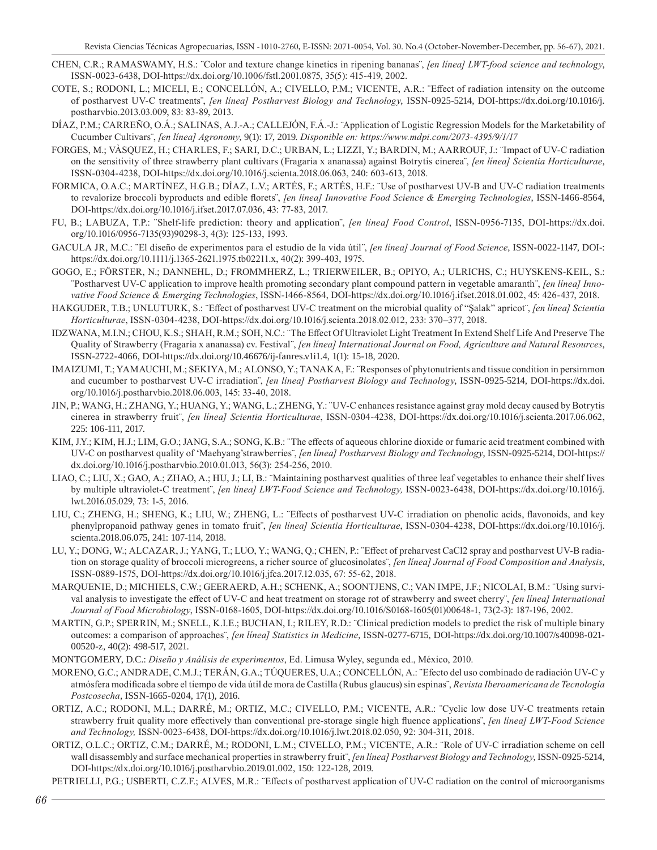- CHEN, C.R.; RAMASWAMY, H.S.: ¨Color and texture change kinetics in ripening bananas¨, *[en línea] LWT-food science and technology*, ISSN-0023-6438, DOI-https://dx.doi.org/10.1006/fstl.2001.0875, 35(5): 415-419, 2002.
- COTE, S.; RODONI, L.; MICELI, E.; CONCELLÓN, A.; CIVELLO, P.M.; VICENTE, A.R.: ¨Effect of radiation intensity on the outcome of postharvest UV-C treatments¨, *[en línea] Postharvest Biology and Technology*, ISSN-0925-5214, DOI-https://dx.doi.org/10.1016/j. postharvbio.2013.03.009, 83: 83-89, 2013.
- DÍAZ, P.M.; CARREÑO, O.Á.; SALINAS, A.J.-A.; CALLEJÓN, F.Á.-J.: ¨Application of Logistic Regression Models for the Marketability of Cucumber Cultivars¨, *[en línea] Agronomy*, 9(1): 17, 2019. *Disponible en: https://www.mdpi.com/2073-4395/9/1/17*
- FORGES, M.; VÀSQUEZ, H.; CHARLES, F.; SARI, D.C.; URBAN, L.; LIZZI, Y.; BARDIN, M.; AARROUF, J.: ¨Impact of UV-C radiation on the sensitivity of three strawberry plant cultivars (Fragaria x ananassa) against Botrytis cinerea¨, *[en línea] Scientia Horticulturae*, ISSN-0304-4238, DOI-https://dx.doi.org/10.1016/j.scienta.2018.06.063, 240: 603-613, 2018.
- FORMICA, O.A.C.; MARTÍNEZ, H.G.B.; DÍAZ, L.V.; ARTÉS, F.; ARTÉS, H.F.: ¨Use of postharvest UV-B and UV-C radiation treatments to revalorize broccoli byproducts and edible florets¨, *[en línea] Innovative Food Science & Emerging Technologies*, ISSN-1466-8564, DOI-https://dx.doi.org/10.1016/j.ifset.2017.07.036, 43: 77-83, 2017.
- FU, B.; LABUZA, T.P.: ¨Shelf-life prediction: theory and application¨, *[en línea] Food Control*, ISSN-0956-7135, DOI-https://dx.doi. org/10.1016/0956-7135(93)90298-3, 4(3): 125-133, 1993.
- GACULA JR, M.C.: ¨El diseño de experimentos para el estudio de la vida útil¨, *[en línea] Journal of Food Science*, ISSN-0022-1147, DOI-: https://dx.doi.org/10.1111/j.1365-2621.1975.tb02211.x, 40(2): 399-403, 1975.
- GOGO, E.; FÖRSTER, N.; DANNEHL, D.; FROMMHERZ, L.; TRIERWEILER, B.; OPIYO, A.; ULRICHS, C.; HUYSKENS-KEIL, S.: ¨Postharvest UV-C application to improve health promoting secondary plant compound pattern in vegetable amaranth¨, *[en línea] Innovative Food Science & Emerging Technologies*, ISSN-1466-8564, DOI-https://dx.doi.org/10.1016/j.ifset.2018.01.002, 45: 426-437, 2018.
- HAKGUDER, T.B.; UNLUTURK, S.: ¨Effect of postharvest UV-C treatment on the microbial quality of "Şalak" apricot¨, *[en línea] Scientia Horticulturae*, ISSN-0304-4238, DOI-https://dx.doi.org/10.1016/j.scienta.2018.02.012, 233: 370–377, 2018.
- IDZWANA, M.I.N.; CHOU, K.S.; SHAH, R.M.; SOH, N.C.: ¨The Effect Of Ultraviolet Light Treatment In Extend Shelf Life And Preserve The Quality of Strawberry (Fragaria x ananassa) cv. Festival¨, *[en línea] International Journal on Food, Agriculture and Natural Resources*, ISSN-2722-4066, DOI-https://dx.doi.org/10.46676/ij-fanres.v1i1.4, 1(1): 15-18, 2020.
- IMAIZUMI, T.; YAMAUCHI, M.; SEKIYA, M.; ALONSO, Y.; TANAKA, F.: ¨Responses of phytonutrients and tissue condition in persimmon and cucumber to postharvest UV-C irradiation¨, *[en línea] Postharvest Biology and Technology*, ISSN-0925-5214, DOI-https://dx.doi. org/10.1016/j.postharvbio.2018.06.003, 145: 33-40, 2018.
- JIN, P.; WANG, H.; ZHANG, Y.; HUANG, Y.; WANG, L.; ZHENG, Y.: ¨UV-C enhances resistance against gray mold decay caused by Botrytis cinerea in strawberry fruit¨, *[en línea] Scientia Horticulturae*, ISSN-0304-4238, DOI-https://dx.doi.org/10.1016/j.scienta.2017.06.062, 225: 106-111, 2017.
- KIM, J.Y.; KIM, H.J.; LIM, G.O.; JANG, S.A.; SONG, K.B.: ¨The effects of aqueous chlorine dioxide or fumaric acid treatment combined with UV-C on postharvest quality of 'Maehyang'strawberries¨, *[en línea] Postharvest Biology and Technology*, ISSN-0925-5214, DOI-https:// dx.doi.org/10.1016/j.postharvbio.2010.01.013, 56(3): 254-256, 2010.
- LIAO, C.; LIU, X.; GAO, A.; ZHAO, A.; HU, J.; LI, B.: ¨Maintaining postharvest qualities of three leaf vegetables to enhance their shelf lives by multiple ultraviolet-C treatment¨, *[en línea] LWT-Food Science and Technology,* ISSN-0023-6438, DOI-https://dx.doi.org/10.1016/j. lwt.2016.05.029, 73: 1-5, 2016.
- LIU, C.; ZHENG, H.; SHENG, K.; LIU, W.; ZHENG, L.: ¨Effects of postharvest UV-C irradiation on phenolic acids, flavonoids, and key phenylpropanoid pathway genes in tomato fruit¨, *[en línea] Scientia Horticulturae*, ISSN-0304-4238, DOI-https://dx.doi.org/10.1016/j. scienta.2018.06.075, 241: 107-114, 2018.
- LU, Y.; DONG, W.; ALCAZAR, J.; YANG, T.; LUO, Y.; WANG, Q.; CHEN, P.: ¨Effect of preharvest CaCl2 spray and postharvest UV-B radiation on storage quality of broccoli microgreens, a richer source of glucosinolates¨, *[en línea] Journal of Food Composition and Analysis*, ISSN-0889-1575, DOI-https://dx.doi.org/10.1016/j.jfca.2017.12.035, 67: 55-62, 2018.
- MARQUENIE, D.; MICHIELS, C.W.; GEERAERD, A.H.; SCHENK, A.; SOONTJENS, C.; VAN IMPE, J.F.; NICOLAI, B.M.: ¨Using survival analysis to investigate the effect of UV-C and heat treatment on storage rot of strawberry and sweet cherry¨, *[en línea] International Journal of Food Microbiology*, ISSN-0168-1605, DOI-https://dx.doi.org/10.1016/S0168-1605(01)00648-1, 73(2-3): 187-196, 2002.
- MARTIN, G.P.; SPERRIN, M.; SNELL, K.I.E.; BUCHAN, I.; RILEY, R.D.: ¨Clinical prediction models to predict the risk of multiple binary outcomes: a comparison of approaches¨, *[en línea] Statistics in Medicine*, ISSN-0277-6715, DOI-https://dx.doi.org/10.1007/s40098-021- 00520-z, 40(2): 498-517, 2021.
- MONTGOMERY, D.C.: *Diseño y Análisis de experimentos*, Ed. Limusa Wyley, segunda ed., México, 2010.
- MORENO, G.C.; ANDRADE, C.M.J.; TERÁN, G.A.; TÚQUERES, U.A.; CONCELLÓN, A.: ¨Efecto del uso combinado de radiación UV-C y atmósfera modificada sobre el tiempo de vida útil de mora de Castilla (Rubus glaucus) sin espinas¨, *Revista Iberoamericana de Tecnología Postcosecha*, ISSN-1665-0204, 17(1), 2016.
- ORTIZ, A.C.; RODONI, M.L.; DARRÉ, M.; ORTIZ, M.C.; CIVELLO, P.M.; VICENTE, A.R.: ¨Cyclic low dose UV-C treatments retain strawberry fruit quality more effectively than conventional pre-storage single high fluence applications¨, *[en línea] LWT-Food Science and Technology,* ISSN-0023-6438, DOI-https://dx.doi.org/10.1016/j.lwt.2018.02.050, 92: 304-311, 2018.
- ORTIZ, O.L.C.; ORTIZ, C.M.; DARRÉ, M.; RODONI, L.M.; CIVELLO, P.M.; VICENTE, A.R.: ¨Role of UV-C irradiation scheme on cell wall disassembly and surface mechanical properties in strawberry fruit¨, *[en línea] Postharvest Biology and Technology*, ISSN-0925-5214, DOI-https://dx.doi.org/10.1016/j.postharvbio.2019.01.002, 150: 122-128, 2019.

PETRIELLI, P.G.; USBERTI, C.Z.F.; ALVES, M.R.: ¨Effects of postharvest application of UV-C radiation on the control of microorganisms